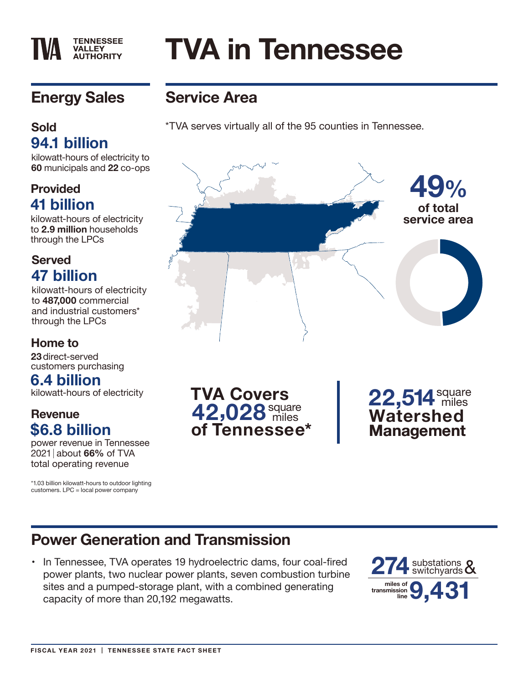#### **VALLEY AUTHORITY**

**TENNESSEE** 

# **TVA in Tennessee**

# **Energy Sales**

## **Sold 94.1 billion**

kilowatt-hours of electricity to **60** municipals and **22** co-ops

## **Provided 41 billion**

kilowatt-hours of electricity to **2.9 million** households through the LPCs

## **Served 47 billion**

kilowatt-hours of electricity to **487,000** commercial and industrial customers\* through the LPCs

#### **Home to**

**23** direct-served customers purchasing

## **6.4 billion**

kilowatt-hours of electricity

#### **Revenue \$6.8 billion**

power revenue in Tennessee 2021 about **66%** of TVA total operating revenue

\*1.03 billion kilowatt-hours to outdoor lighting customers. LPC = local power company

**Service Area**

\*TVA serves virtually all of the 95 counties in Tennessee.



**42 028**square miles **,TVA Covers of Tennessee\*** 22,514 miles **Watershed Management**

# **Power Generation and Transmission**

• In Tennessee, TVA operates 19 hydroelectric dams, four coal-fired power plants, two nuclear power plants, seven combustion turbine sites and a pumped-storage plant, with a combined generating capacity of more than 20,192 megawatts.

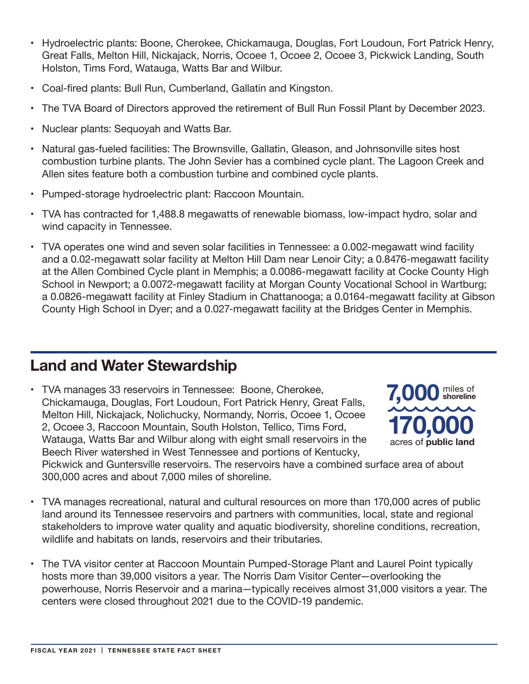- • Hydroelectric plants: Boone, Cherokee, Chickamauga, Douglas, Fort Loudoun, Fort Patrick Henry, Great Falls, Melton Hill, Nickajack, Norris, Ocoee 1, Ocoee 2, Ocoee 3, Pickwick Landing, South Holston, Tims Ford, Watauga, Watts Bar and Wilbur.
- Coal-fired plants: Bull Run, Cumberland, Gallatin and Kingston.
- The TVA Board of Directors approved the retirement of Bull Run Fossil Plant by December 2023.
- • Nuclear plants: Sequoyah and Watts Bar.
- • Natural gas-fueled facilities: The Brownsville, Gallatin, Gleason, and Johnsonville sites host combustion turbine plants. The John Sevier has a combined cycle plant. The Lagoon Creek and Allen sites feature both a combustion turbine and combined cycle plants.
- Pumped-storage hydroelectric plant: Raccoon Mountain.
- TVA has contracted for 1,488.8 megawatts of renewable biomass, low-impact hydro, solar and wind capacity in Tennessee.
- TVA operates one wind and seven solar facilities in Tennessee: a 0.002-megawatt wind facility and a 0.02-megawatt solar facility at Melton Hill Dam near Lenoir City; a 0.8476-megawatt facility at the Allen Combined Cycle plant in Memphis; a 0.0086-megawatt facility at Cocke County High School in Newport; a 0.0072-megawatt facility at Morgan County Vocational School in Wartburg; a 0.0826-megawatt facility at Finley Stadium in Chattanooga; a 0.0164-megawatt facility at Gibson County High School in Dyer; and a 0.027-megawatt facility at the Bridges Center in Memphis.

## **Land and Water Stewardship**

• TVA manages 33 reservoirs in Tennessee: Boone, Cherokee, Chickamauga, Douglas, Fort Loudoun, Fort Patrick Henry, Great Falls, Melton Hill, Nickajack, Nolichucky, Normandy, Norris, Ocoee 1, Ocoee 2, Ocoee 3, Raccoon Mountain, South Holston, Tellico, Tims Ford, Watauga, Watts Bar and Wilbur along with eight small reservoirs in the Beech River watershed in West Tennessee and portions of Kentucky,



Pickwick and Guntersville reservoirs. The reservoirs have a combined surface area of about 300,000 acres and about 7,000 miles of shoreline.

- • TVA manages recreational, natural and cultural resources on more than 170,000 acres of public land around its Tennessee reservoirs and partners with communities, local, state and regional stakeholders to improve water quality and aquatic biodiversity, shoreline conditions, recreation, wildlife and habitats on lands, reservoirs and their tributaries.
- The TVA visitor center at Raccoon Mountain Pumped-Storage Plant and Laurel Point typically hosts more than 39,000 visitors a year. The Norris Dam Visitor Center—overlooking the powerhouse, Norris Reservoir and a marina—typically receives almost 31,000 visitors a year. The centers were closed throughout 2021 due to the COVID-19 pandemic.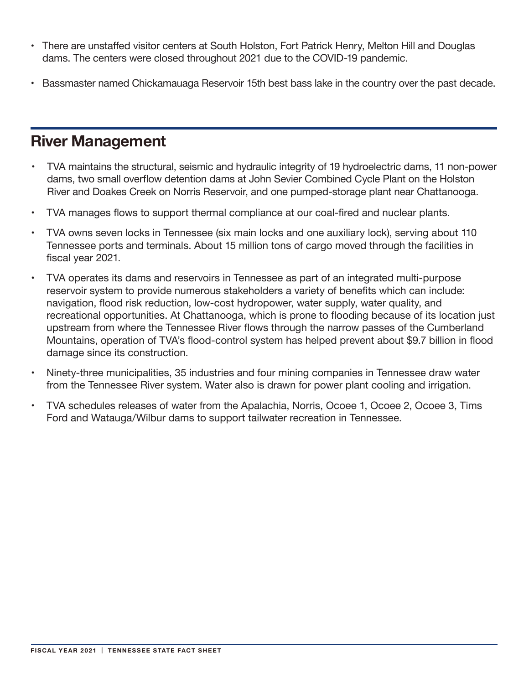- There are unstaffed visitor centers at South Holston, Fort Patrick Henry, Melton Hill and Douglas dams. The centers were closed throughout 2021 due to the COVID-19 pandemic.
- • Bassmaster named Chickamauaga Reservoir 15th best bass lake in the country over the past decade.

# **River Management**

- TVA maintains the structural, seismic and hydraulic integrity of 19 hydroelectric dams, 11 non-power dams, two small overflow detention dams at John Sevier Combined Cycle Plant on the Holston River and Doakes Creek on Norris Reservoir, and one pumped-storage plant near Chattanooga.
- TVA manages flows to support thermal compliance at our coal-fired and nuclear plants.
- TVA owns seven locks in Tennessee (six main locks and one auxiliary lock), serving about 110 Tennessee ports and terminals. About 15 million tons of cargo moved through the facilities in fiscal year 2021.
- TVA operates its dams and reservoirs in Tennessee as part of an integrated multi-purpose reservoir system to provide numerous stakeholders a variety of benefits which can include: navigation, flood risk reduction, low-cost hydropower, water supply, water quality, and recreational opportunities. At Chattanooga, which is prone to flooding because of its location just upstream from where the Tennessee River flows through the narrow passes of the Cumberland Mountains, operation of TVA's flood-control system has helped prevent about \$9.7 billion in flood damage since its construction.
- Ninety-three municipalities, 35 industries and four mining companies in Tennessee draw water from the Tennessee River system. Water also is drawn for power plant cooling and irrigation.
- TVA schedules releases of water from the Apalachia, Norris, Ocoee 1, Ocoee 2, Ocoee 3, Tims Ford and Watauga/Wilbur dams to support tailwater recreation in Tennessee.